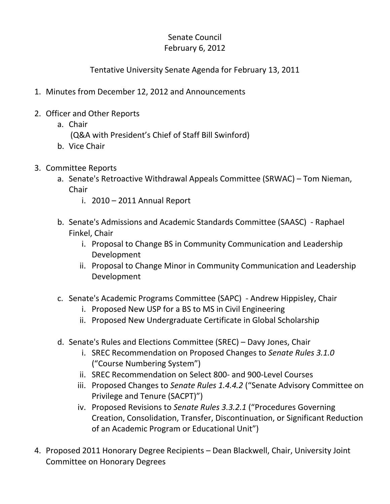## Senate Council February 6, 2012

## Tentative University Senate Agenda for February 13, 2011

- 1. Minutes from December 12, 2012 and Announcements
- 2. Officer and Other Reports
	- a. Chair
		- (Q&A with President's Chief of Staff Bill Swinford)
	- b. Vice Chair
- 3. Committee Reports
	- a. Senate's Retroactive Withdrawal Appeals Committee (SRWAC) Tom Nieman, **Chair** 
		- i. 2010 2011 Annual Report
	- b. Senate's Admissions and Academic Standards Committee (SAASC) Raphael Finkel, Chair
		- i. Proposal to Change BS in Community Communication and Leadership Development
		- ii. Proposal to Change Minor in Community Communication and Leadership Development
	- c. Senate's Academic Programs Committee (SAPC) Andrew Hippisley, Chair
		- i. Proposed New USP for a BS to MS in Civil Engineering
		- ii. Proposed New Undergraduate Certificate in Global Scholarship
	- d. Senate's Rules and Elections Committee (SREC) Davy Jones, Chair
		- i. SREC Recommendation on Proposed Changes to *Senate Rules 3.1.0* ("Course Numbering System")
		- ii. SREC Recommendation on Select 800- and 900-Level Courses
		- iii. Proposed Changes to *Senate Rules 1.4.4.2* ("Senate Advisory Committee on Privilege and Tenure (SACPT)")
		- iv. Proposed Revisions to *Senate Rules 3.3.2.1* ("Procedures Governing Creation, Consolidation, Transfer, Discontinuation, or Significant Reduction of an Academic Program or Educational Unit")
- 4. Proposed 2011 Honorary Degree Recipients Dean Blackwell, Chair, University Joint Committee on Honorary Degrees